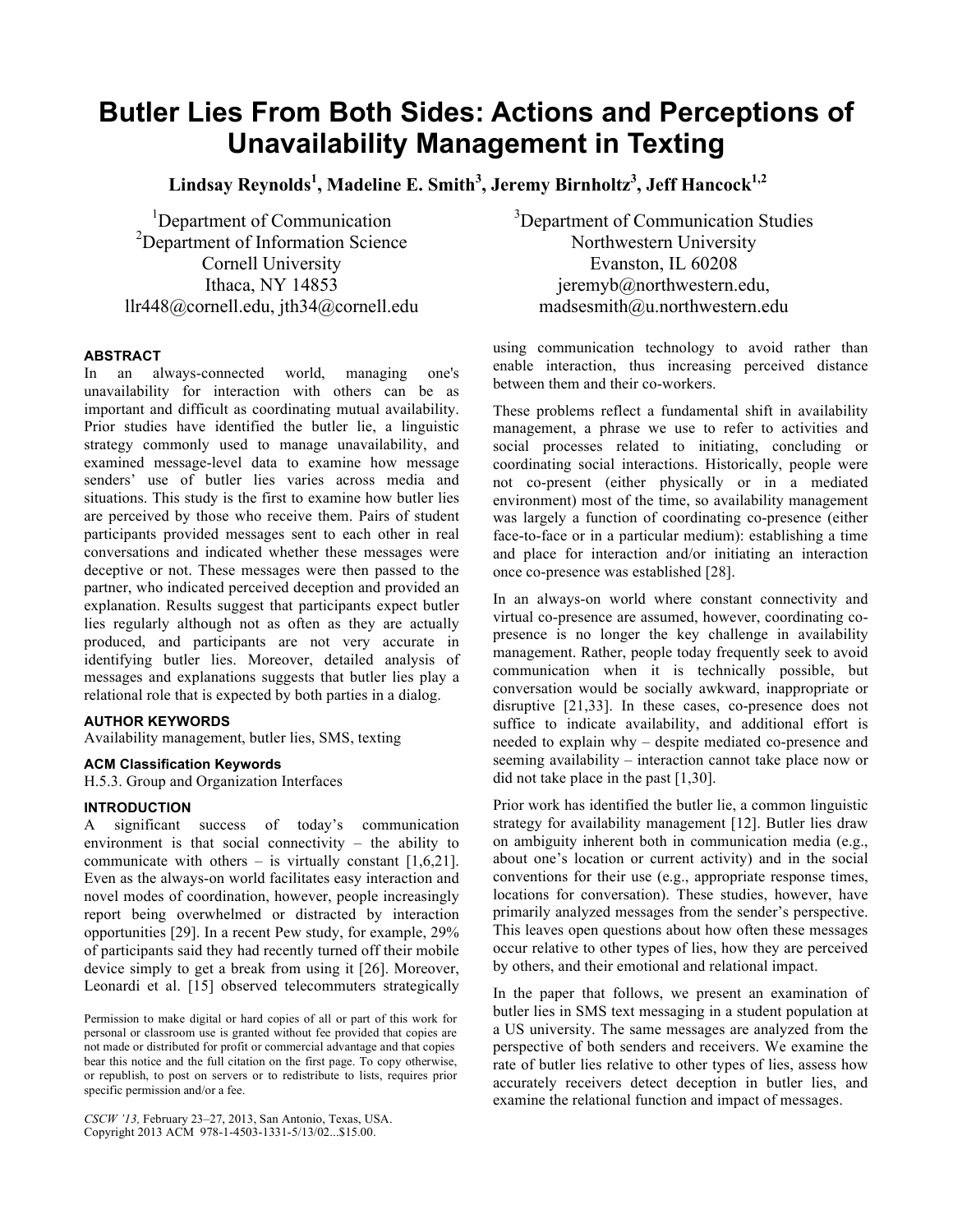# **Butler Lies From Both Sides: Actions and Perceptions of Unavailability Management in Texting**

**Lindsay Reynolds<sup>1</sup> , Madeline E. Smith<sup>3</sup> , Jeremy Birnholtz<sup>3</sup> , Jeff Hancock1,2**

<sup>1</sup>Department of Communication <sup>2</sup>Department of Information Science Cornell University Ithaca, NY 14853 llr448@cornell.edu, jth34@cornell.edu

## **ABSTRACT**

In an always-connected world, managing one's unavailability for interaction with others can be as important and difficult as coordinating mutual availability. Prior studies have identified the butler lie, a linguistic strategy commonly used to manage unavailability, and examined message-level data to examine how message senders' use of butler lies varies across media and situations. This study is the first to examine how butler lies are perceived by those who receive them. Pairs of student participants provided messages sent to each other in real conversations and indicated whether these messages were deceptive or not. These messages were then passed to the partner, who indicated perceived deception and provided an explanation. Results suggest that participants expect butler lies regularly although not as often as they are actually produced, and participants are not very accurate in identifying butler lies. Moreover, detailed analysis of messages and explanations suggests that butler lies play a relational role that is expected by both parties in a dialog.

## **AUTHOR KEYWORDS**

Availability management, butler lies, SMS, texting

# **ACM Classification Keywords**

H.5.3. Group and Organization Interfaces

# **INTRODUCTION**

A significant success of today's communication environment is that social connectivity – the ability to communicate with others – is virtually constant  $[1,6,21]$ . Even as the always-on world facilitates easy interaction and novel modes of coordination, however, people increasingly report being overwhelmed or distracted by interaction opportunities [29]. In a recent Pew study, for example, 29% of participants said they had recently turned off their mobile device simply to get a break from using it [26]. Moreover, Leonardi et al. [15] observed telecommuters strategically

*CSCW '13,* February 23–27, 2013, San Antonio, Texas, USA. Copyright 2013 ACM 978-1-4503-1331-5/13/02...\$15.00.

<sup>3</sup>Department of Communication Studies Northwestern University Evanston, IL 60208 jeremyb@northwestern.edu, madsesmith@u.northwestern.edu

using communication technology to avoid rather than enable interaction, thus increasing perceived distance between them and their co-workers.

These problems reflect a fundamental shift in availability management, a phrase we use to refer to activities and social processes related to initiating, concluding or coordinating social interactions. Historically, people were not co-present (either physically or in a mediated environment) most of the time, so availability management was largely a function of coordinating co-presence (either face-to-face or in a particular medium): establishing a time and place for interaction and/or initiating an interaction once co-presence was established [28].

In an always-on world where constant connectivity and virtual co-presence are assumed, however, coordinating copresence is no longer the key challenge in availability management. Rather, people today frequently seek to avoid communication when it is technically possible, but conversation would be socially awkward, inappropriate or disruptive [21,33]. In these cases, co-presence does not suffice to indicate availability, and additional effort is needed to explain why – despite mediated co-presence and seeming availability – interaction cannot take place now or did not take place in the past [1,30].

Prior work has identified the butler lie, a common linguistic strategy for availability management [12]. Butler lies draw on ambiguity inherent both in communication media (e.g., about one's location or current activity) and in the social conventions for their use (e.g., appropriate response times, locations for conversation). These studies, however, have primarily analyzed messages from the sender's perspective. This leaves open questions about how often these messages occur relative to other types of lies, how they are perceived by others, and their emotional and relational impact.

In the paper that follows, we present an examination of butler lies in SMS text messaging in a student population at a US university. The same messages are analyzed from the perspective of both senders and receivers. We examine the rate of butler lies relative to other types of lies, assess how accurately receivers detect deception in butler lies, and examine the relational function and impact of messages.

Permission to make digital or hard copies of all or part of this work for personal or classroom use is granted without fee provided that copies are not made or distributed for profit or commercial advantage and that copies bear this notice and the full citation on the first page. To copy otherwise, or republish, to post on servers or to redistribute to lists, requires prior specific permission and/or a fee.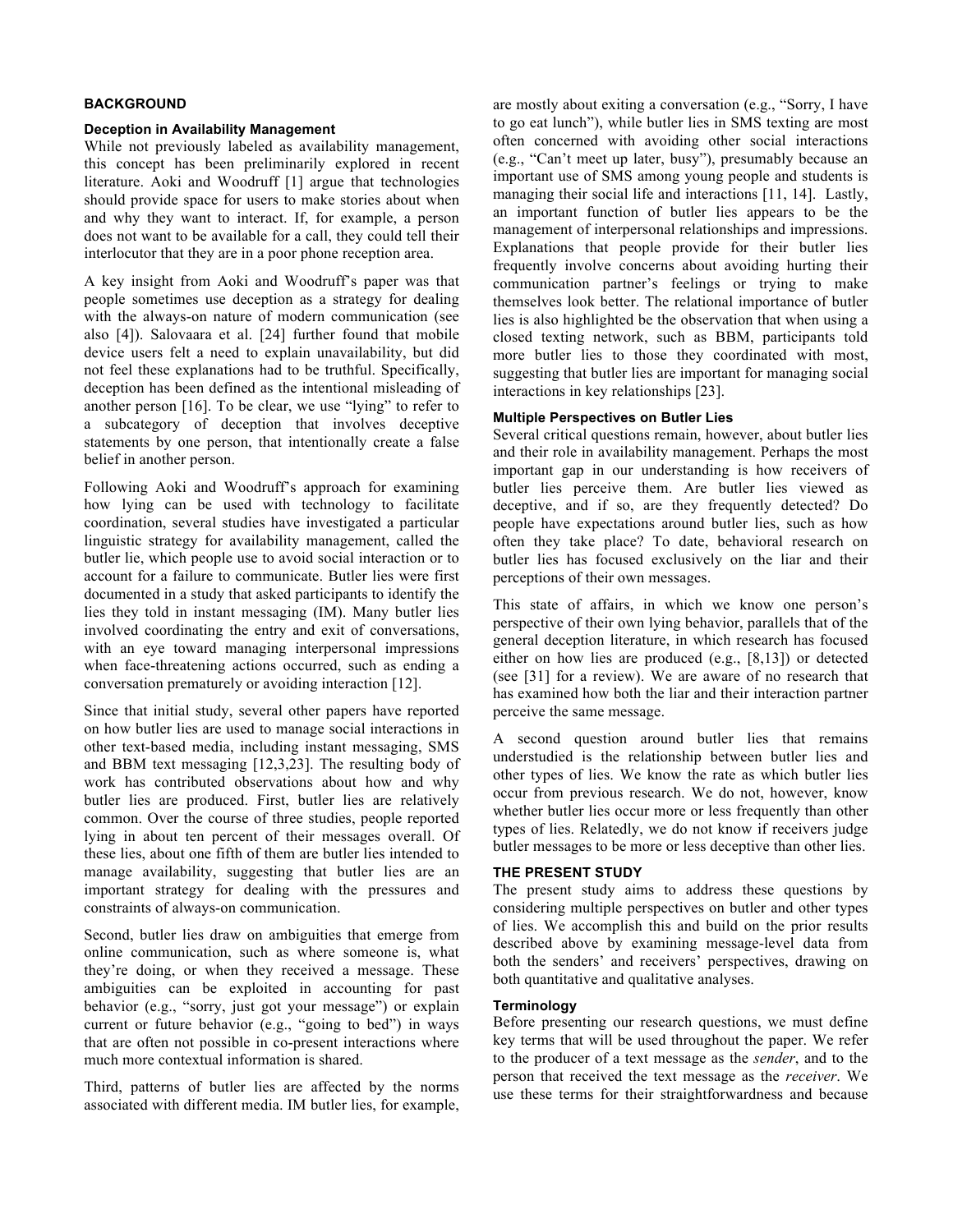# **BACKGROUND**

#### **Deception in Availability Management**

While not previously labeled as availability management, this concept has been preliminarily explored in recent literature. Aoki and Woodruff [1] argue that technologies should provide space for users to make stories about when and why they want to interact. If, for example, a person does not want to be available for a call, they could tell their interlocutor that they are in a poor phone reception area.

A key insight from Aoki and Woodruff's paper was that people sometimes use deception as a strategy for dealing with the always-on nature of modern communication (see also [4]). Salovaara et al. [24] further found that mobile device users felt a need to explain unavailability, but did not feel these explanations had to be truthful. Specifically, deception has been defined as the intentional misleading of another person [16]. To be clear, we use "lying" to refer to a subcategory of deception that involves deceptive statements by one person, that intentionally create a false belief in another person.

Following Aoki and Woodruff's approach for examining how lying can be used with technology to facilitate coordination, several studies have investigated a particular linguistic strategy for availability management, called the butler lie, which people use to avoid social interaction or to account for a failure to communicate. Butler lies were first documented in a study that asked participants to identify the lies they told in instant messaging (IM). Many butler lies involved coordinating the entry and exit of conversations, with an eye toward managing interpersonal impressions when face-threatening actions occurred, such as ending a conversation prematurely or avoiding interaction [12].

Since that initial study, several other papers have reported on how butler lies are used to manage social interactions in other text-based media, including instant messaging, SMS and BBM text messaging [12,3,23]. The resulting body of work has contributed observations about how and why butler lies are produced. First, butler lies are relatively common. Over the course of three studies, people reported lying in about ten percent of their messages overall. Of these lies, about one fifth of them are butler lies intended to manage availability, suggesting that butler lies are an important strategy for dealing with the pressures and constraints of always-on communication.

Second, butler lies draw on ambiguities that emerge from online communication, such as where someone is, what they're doing, or when they received a message. These ambiguities can be exploited in accounting for past behavior (e.g., "sorry, just got your message") or explain current or future behavior (e.g., "going to bed") in ways that are often not possible in co-present interactions where much more contextual information is shared.

Third, patterns of butler lies are affected by the norms associated with different media. IM butler lies, for example, are mostly about exiting a conversation (e.g., "Sorry, I have to go eat lunch"), while butler lies in SMS texting are most often concerned with avoiding other social interactions (e.g., "Can't meet up later, busy"), presumably because an important use of SMS among young people and students is managing their social life and interactions [11, 14]. Lastly, an important function of butler lies appears to be the management of interpersonal relationships and impressions. Explanations that people provide for their butler lies frequently involve concerns about avoiding hurting their communication partner's feelings or trying to make themselves look better. The relational importance of butler lies is also highlighted be the observation that when using a closed texting network, such as BBM, participants told more butler lies to those they coordinated with most, suggesting that butler lies are important for managing social interactions in key relationships [23].

#### **Multiple Perspectives on Butler Lies**

Several critical questions remain, however, about butler lies and their role in availability management. Perhaps the most important gap in our understanding is how receivers of butler lies perceive them. Are butler lies viewed as deceptive, and if so, are they frequently detected? Do people have expectations around butler lies, such as how often they take place? To date, behavioral research on butler lies has focused exclusively on the liar and their perceptions of their own messages.

This state of affairs, in which we know one person's perspective of their own lying behavior, parallels that of the general deception literature, in which research has focused either on how lies are produced (e.g., [8,13]) or detected (see [31] for a review). We are aware of no research that has examined how both the liar and their interaction partner perceive the same message.

A second question around butler lies that remains understudied is the relationship between butler lies and other types of lies. We know the rate as which butler lies occur from previous research. We do not, however, know whether butler lies occur more or less frequently than other types of lies. Relatedly, we do not know if receivers judge butler messages to be more or less deceptive than other lies.

# **THE PRESENT STUDY**

The present study aims to address these questions by considering multiple perspectives on butler and other types of lies. We accomplish this and build on the prior results described above by examining message-level data from both the senders' and receivers' perspectives, drawing on both quantitative and qualitative analyses.

## **Terminology**

Before presenting our research questions, we must define key terms that will be used throughout the paper. We refer to the producer of a text message as the *sender*, and to the person that received the text message as the *receiver*. We use these terms for their straightforwardness and because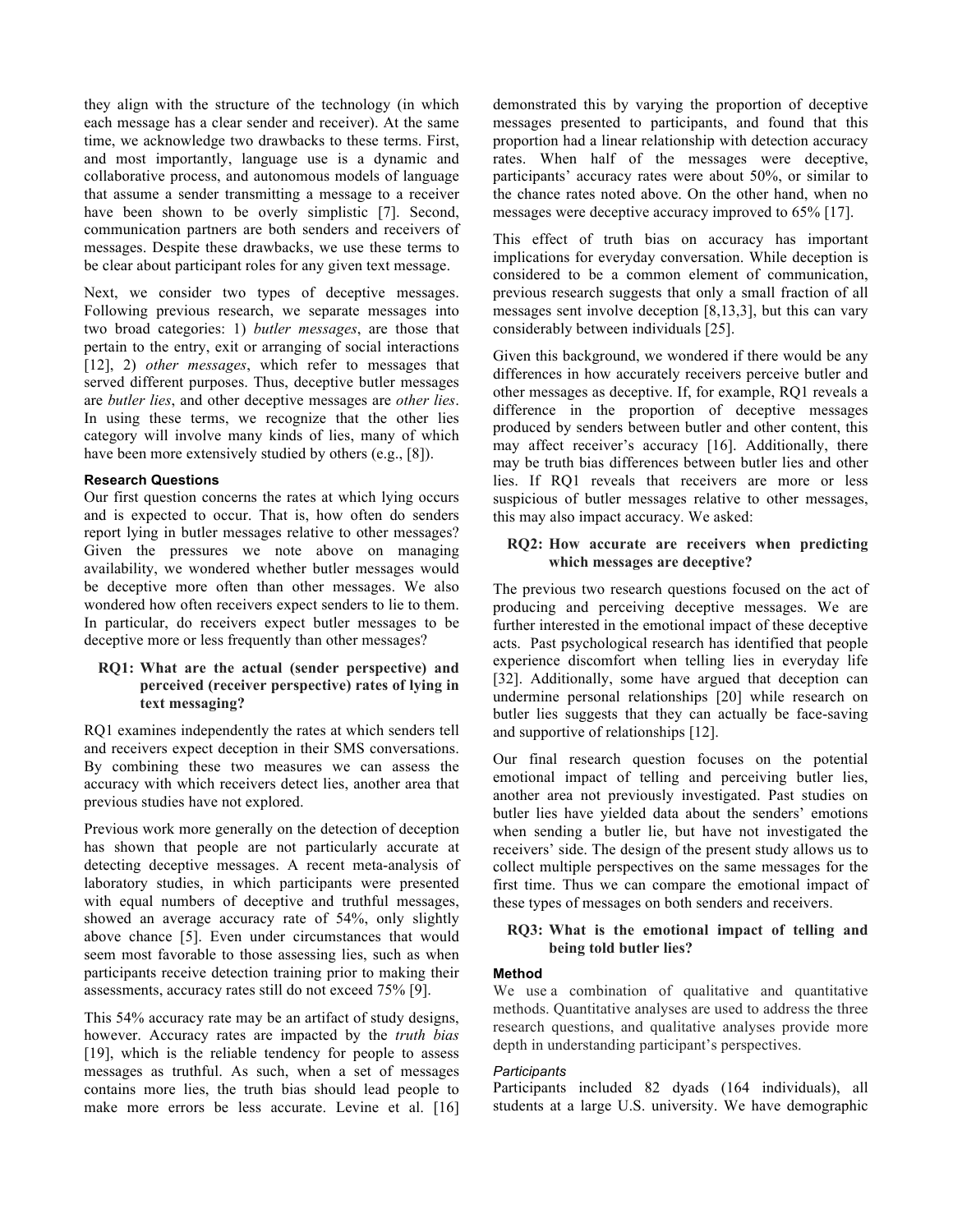they align with the structure of the technology (in which each message has a clear sender and receiver). At the same time, we acknowledge two drawbacks to these terms. First, and most importantly, language use is a dynamic and collaborative process, and autonomous models of language that assume a sender transmitting a message to a receiver have been shown to be overly simplistic [7]. Second, communication partners are both senders and receivers of messages. Despite these drawbacks, we use these terms to be clear about participant roles for any given text message.

Next, we consider two types of deceptive messages. Following previous research, we separate messages into two broad categories: 1) *butler messages*, are those that pertain to the entry, exit or arranging of social interactions [12], 2) *other messages*, which refer to messages that served different purposes. Thus, deceptive butler messages are *butler lies*, and other deceptive messages are *other lies*. In using these terms, we recognize that the other lies category will involve many kinds of lies, many of which have been more extensively studied by others (e.g., [8]).

## **Research Questions**

Our first question concerns the rates at which lying occurs and is expected to occur. That is, how often do senders report lying in butler messages relative to other messages? Given the pressures we note above on managing availability, we wondered whether butler messages would be deceptive more often than other messages. We also wondered how often receivers expect senders to lie to them. In particular, do receivers expect butler messages to be deceptive more or less frequently than other messages?

## **RQ1: What are the actual (sender perspective) and perceived (receiver perspective) rates of lying in text messaging?**

RQ1 examines independently the rates at which senders tell and receivers expect deception in their SMS conversations. By combining these two measures we can assess the accuracy with which receivers detect lies, another area that previous studies have not explored.

Previous work more generally on the detection of deception has shown that people are not particularly accurate at detecting deceptive messages. A recent meta-analysis of laboratory studies, in which participants were presented with equal numbers of deceptive and truthful messages, showed an average accuracy rate of 54%, only slightly above chance [5]. Even under circumstances that would seem most favorable to those assessing lies, such as when participants receive detection training prior to making their assessments, accuracy rates still do not exceed 75% [9].

This 54% accuracy rate may be an artifact of study designs, however. Accuracy rates are impacted by the *truth bias* [19], which is the reliable tendency for people to assess messages as truthful. As such, when a set of messages contains more lies, the truth bias should lead people to make more errors be less accurate. Levine et al. [16] demonstrated this by varying the proportion of deceptive messages presented to participants, and found that this proportion had a linear relationship with detection accuracy rates. When half of the messages were deceptive, participants' accuracy rates were about 50%, or similar to the chance rates noted above. On the other hand, when no messages were deceptive accuracy improved to 65% [17].

This effect of truth bias on accuracy has important implications for everyday conversation. While deception is considered to be a common element of communication, previous research suggests that only a small fraction of all messages sent involve deception [8,13,3], but this can vary considerably between individuals [25].

Given this background, we wondered if there would be any differences in how accurately receivers perceive butler and other messages as deceptive. If, for example, RQ1 reveals a difference in the proportion of deceptive messages produced by senders between butler and other content, this may affect receiver's accuracy [16]. Additionally, there may be truth bias differences between butler lies and other lies. If RQ1 reveals that receivers are more or less suspicious of butler messages relative to other messages, this may also impact accuracy. We asked:

## **RQ2: How accurate are receivers when predicting which messages are deceptive?**

The previous two research questions focused on the act of producing and perceiving deceptive messages. We are further interested in the emotional impact of these deceptive acts. Past psychological research has identified that people experience discomfort when telling lies in everyday life [32]. Additionally, some have argued that deception can undermine personal relationships [20] while research on butler lies suggests that they can actually be face-saving and supportive of relationships [12].

Our final research question focuses on the potential emotional impact of telling and perceiving butler lies, another area not previously investigated. Past studies on butler lies have yielded data about the senders' emotions when sending a butler lie, but have not investigated the receivers' side. The design of the present study allows us to collect multiple perspectives on the same messages for the first time. Thus we can compare the emotional impact of these types of messages on both senders and receivers.

## **RQ3: What is the emotional impact of telling and being told butler lies?**

# **Method**

We use a combination of qualitative and quantitative methods. Quantitative analyses are used to address the three research questions, and qualitative analyses provide more depth in understanding participant's perspectives.

## *Participants*

Participants included 82 dyads (164 individuals), all students at a large U.S. university. We have demographic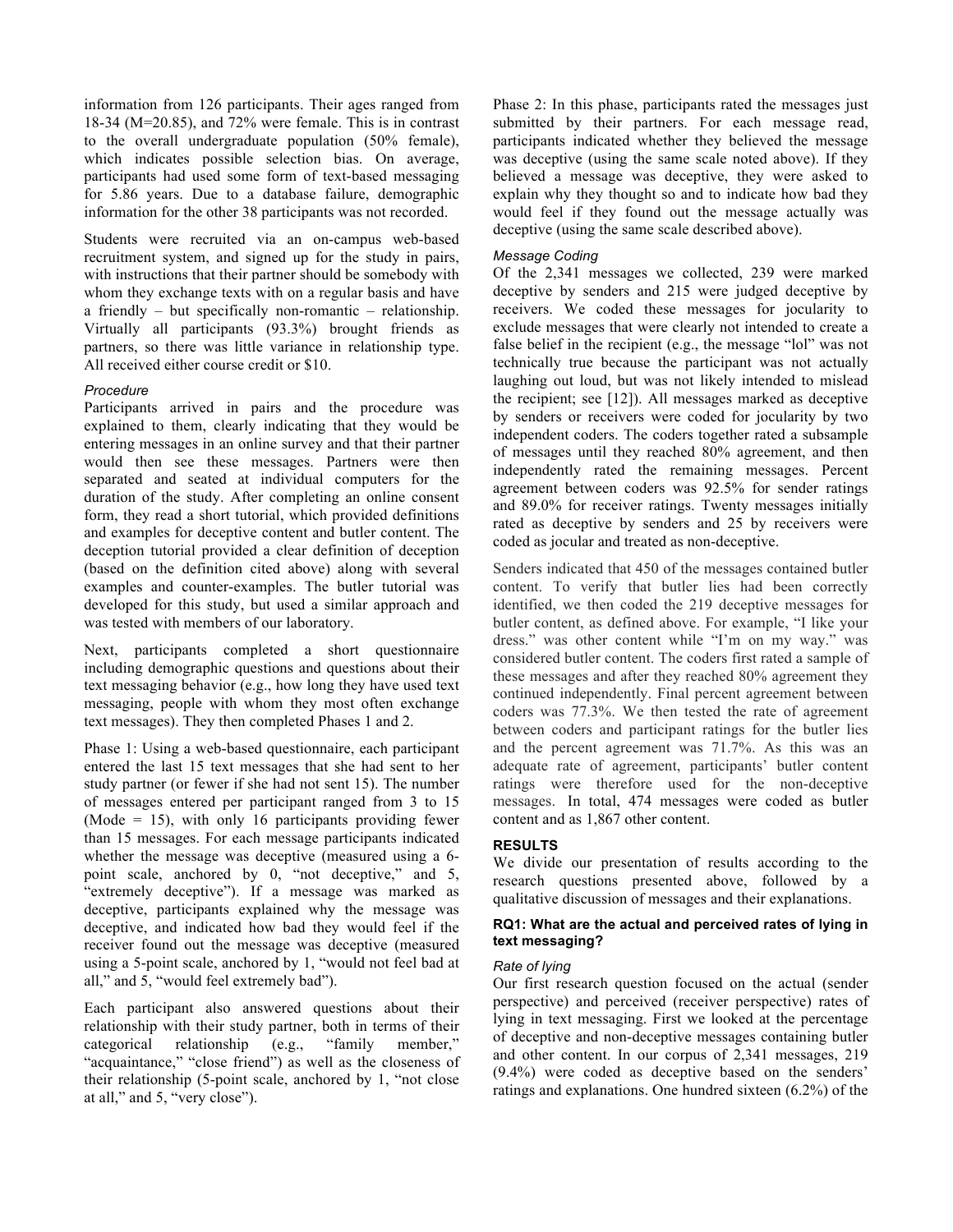information from 126 participants. Their ages ranged from 18-34 (M=20.85), and 72% were female. This is in contrast to the overall undergraduate population (50% female), which indicates possible selection bias. On average, participants had used some form of text-based messaging for 5.86 years. Due to a database failure, demographic information for the other 38 participants was not recorded.

Students were recruited via an on-campus web-based recruitment system, and signed up for the study in pairs, with instructions that their partner should be somebody with whom they exchange texts with on a regular basis and have a friendly – but specifically non-romantic – relationship. Virtually all participants (93.3%) brought friends as partners, so there was little variance in relationship type. All received either course credit or \$10.

## *Procedure*

Participants arrived in pairs and the procedure was explained to them, clearly indicating that they would be entering messages in an online survey and that their partner would then see these messages. Partners were then separated and seated at individual computers for the duration of the study. After completing an online consent form, they read a short tutorial, which provided definitions and examples for deceptive content and butler content. The deception tutorial provided a clear definition of deception (based on the definition cited above) along with several examples and counter-examples. The butler tutorial was developed for this study, but used a similar approach and was tested with members of our laboratory.

Next, participants completed a short questionnaire including demographic questions and questions about their text messaging behavior (e.g., how long they have used text messaging, people with whom they most often exchange text messages). They then completed Phases 1 and 2.

Phase 1: Using a web-based questionnaire, each participant entered the last 15 text messages that she had sent to her study partner (or fewer if she had not sent 15). The number of messages entered per participant ranged from 3 to 15 (Mode = 15), with only 16 participants providing fewer than 15 messages. For each message participants indicated whether the message was deceptive (measured using a 6 point scale, anchored by 0, "not deceptive," and 5, "extremely deceptive"). If a message was marked as deceptive, participants explained why the message was deceptive, and indicated how bad they would feel if the receiver found out the message was deceptive (measured using a 5-point scale, anchored by 1, "would not feel bad at all," and 5, "would feel extremely bad").

Each participant also answered questions about their relationship with their study partner, both in terms of their<br>categorical relationship (e.g., "family member," categorical relationship (e.g., "family "acquaintance," "close friend") as well as the closeness of their relationship (5-point scale, anchored by 1, "not close at all," and 5, "very close").

Phase 2: In this phase, participants rated the messages just submitted by their partners. For each message read, participants indicated whether they believed the message was deceptive (using the same scale noted above). If they believed a message was deceptive, they were asked to explain why they thought so and to indicate how bad they would feel if they found out the message actually was deceptive (using the same scale described above).

#### *Message Coding*

Of the 2,341 messages we collected, 239 were marked deceptive by senders and 215 were judged deceptive by receivers. We coded these messages for jocularity to exclude messages that were clearly not intended to create a false belief in the recipient (e.g., the message "lol" was not technically true because the participant was not actually laughing out loud, but was not likely intended to mislead the recipient; see [12]). All messages marked as deceptive by senders or receivers were coded for jocularity by two independent coders. The coders together rated a subsample of messages until they reached 80% agreement, and then independently rated the remaining messages. Percent agreement between coders was 92.5% for sender ratings and 89.0% for receiver ratings. Twenty messages initially rated as deceptive by senders and 25 by receivers were coded as jocular and treated as non-deceptive.

Senders indicated that 450 of the messages contained butler content. To verify that butler lies had been correctly identified, we then coded the 219 deceptive messages for butler content, as defined above. For example, "I like your dress." was other content while "I'm on my way." was considered butler content. The coders first rated a sample of these messages and after they reached 80% agreement they continued independently. Final percent agreement between coders was 77.3%. We then tested the rate of agreement between coders and participant ratings for the butler lies and the percent agreement was 71.7%. As this was an adequate rate of agreement, participants' butler content ratings were therefore used for the non-deceptive messages. In total, 474 messages were coded as butler content and as 1,867 other content.

# **RESULTS**

We divide our presentation of results according to the research questions presented above, followed by a qualitative discussion of messages and their explanations.

## **RQ1: What are the actual and perceived rates of lying in text messaging?**

#### *Rate of lying*

Our first research question focused on the actual (sender perspective) and perceived (receiver perspective) rates of lying in text messaging. First we looked at the percentage of deceptive and non-deceptive messages containing butler and other content. In our corpus of 2,341 messages, 219 (9.4%) were coded as deceptive based on the senders' ratings and explanations. One hundred sixteen (6.2%) of the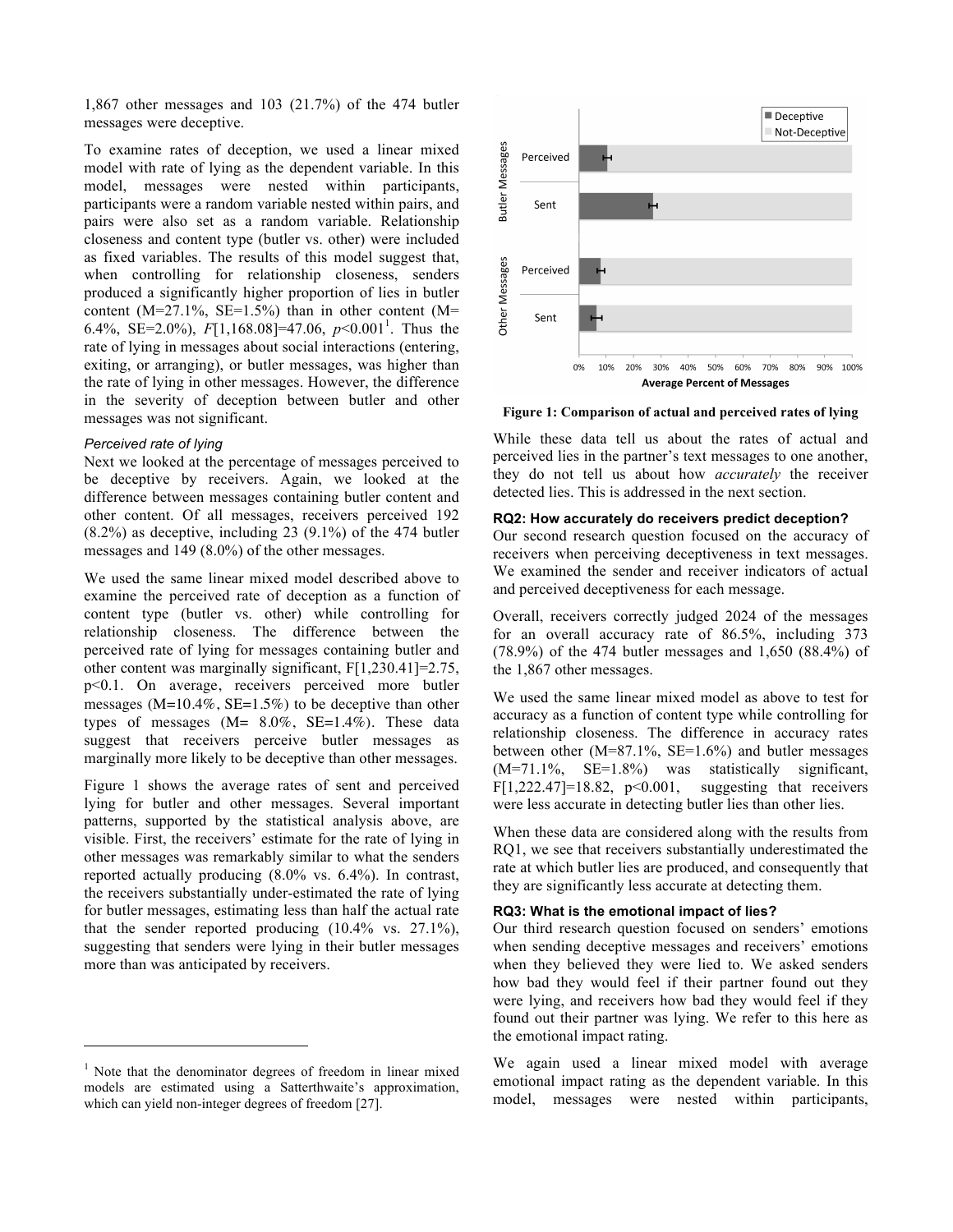1,867 other messages and 103 (21.7%) of the 474 butler messages were deceptive.

To examine rates of deception, we used a linear mixed model with rate of lying as the dependent variable. In this model, messages were nested within participants, participants were a random variable nested within pairs, and pairs were also set as a random variable. Relationship closeness and content type (butler vs. other) were included as fixed variables. The results of this model suggest that, when controlling for relationship closeness, senders produced a significantly higher proportion of lies in butler content ( $M=27.1\%$ ,  $SE=1.5\%$ ) than in other content ( $M=$ 6.4%, SE=2.0%),  $F[1,168.08] = 47.06$ ,  $p < 0.001$ <sup>1</sup>. Thus the rate of lying in messages about social interactions (entering, exiting, or arranging), or butler messages, was higher than the rate of lying in other messages. However, the difference in the severity of deception between butler and other messages was not significant.

## *Perceived rate of lying*

 $\overline{a}$ 

Next we looked at the percentage of messages perceived to be deceptive by receivers. Again, we looked at the difference between messages containing butler content and other content. Of all messages, receivers perceived 192 (8.2%) as deceptive, including 23 (9.1%) of the 474 butler messages and 149 (8.0%) of the other messages.

We used the same linear mixed model described above to examine the perceived rate of deception as a function of content type (butler vs. other) while controlling for relationship closeness. The difference between the perceived rate of lying for messages containing butler and other content was marginally significant, F[1,230.41]=2.75, p<0.1. On average, receivers perceived more butler messages  $(M=10.4\%, SE=1.5\%)$  to be deceptive than other types of messages  $(M= 8.0\%, SE=1.4\%)$ . These data suggest that receivers perceive butler messages as marginally more likely to be deceptive than other messages.

Figure 1 shows the average rates of sent and perceived lying for butler and other messages. Several important patterns, supported by the statistical analysis above, are visible. First, the receivers' estimate for the rate of lying in other messages was remarkably similar to what the senders reported actually producing (8.0% vs. 6.4%). In contrast, the receivers substantially under-estimated the rate of lying for butler messages, estimating less than half the actual rate that the sender reported producing  $(10.4\% \text{ vs. } 27.1\%),$ suggesting that senders were lying in their butler messages more than was anticipated by receivers.



**Figure 1: Comparison of actual and perceived rates of lying**

While these data tell us about the rates of actual and perceived lies in the partner's text messages to one another, they do not tell us about how *accurately* the receiver detected lies. This is addressed in the next section.

## **RQ2: How accurately do receivers predict deception?**

Our second research question focused on the accuracy of receivers when perceiving deceptiveness in text messages. We examined the sender and receiver indicators of actual and perceived deceptiveness for each message.

Overall, receivers correctly judged 2024 of the messages for an overall accuracy rate of 86.5%, including 373 (78.9%) of the 474 butler messages and 1,650 (88.4%) of the 1,867 other messages.

We used the same linear mixed model as above to test for accuracy as a function of content type while controlling for relationship closeness. The difference in accuracy rates between other  $(M=87.1\%$ , SE=1.6%) and butler messages (M=71.1%, SE=1.8%) was statistically significant, F[1,222.47]=18.82,  $p<0.001$ , suggesting that receivers were less accurate in detecting butler lies than other lies.

When these data are considered along with the results from RQ1, we see that receivers substantially underestimated the rate at which butler lies are produced, and consequently that they are significantly less accurate at detecting them.

## **RQ3: What is the emotional impact of lies?**

Our third research question focused on senders' emotions when sending deceptive messages and receivers' emotions when they believed they were lied to. We asked senders how bad they would feel if their partner found out they were lying, and receivers how bad they would feel if they found out their partner was lying. We refer to this here as the emotional impact rating.

We again used a linear mixed model with average emotional impact rating as the dependent variable. In this model, messages were nested within participants,

<sup>&</sup>lt;sup>1</sup> Note that the denominator degrees of freedom in linear mixed models are estimated using a Satterthwaite's approximation, which can yield non-integer degrees of freedom [27].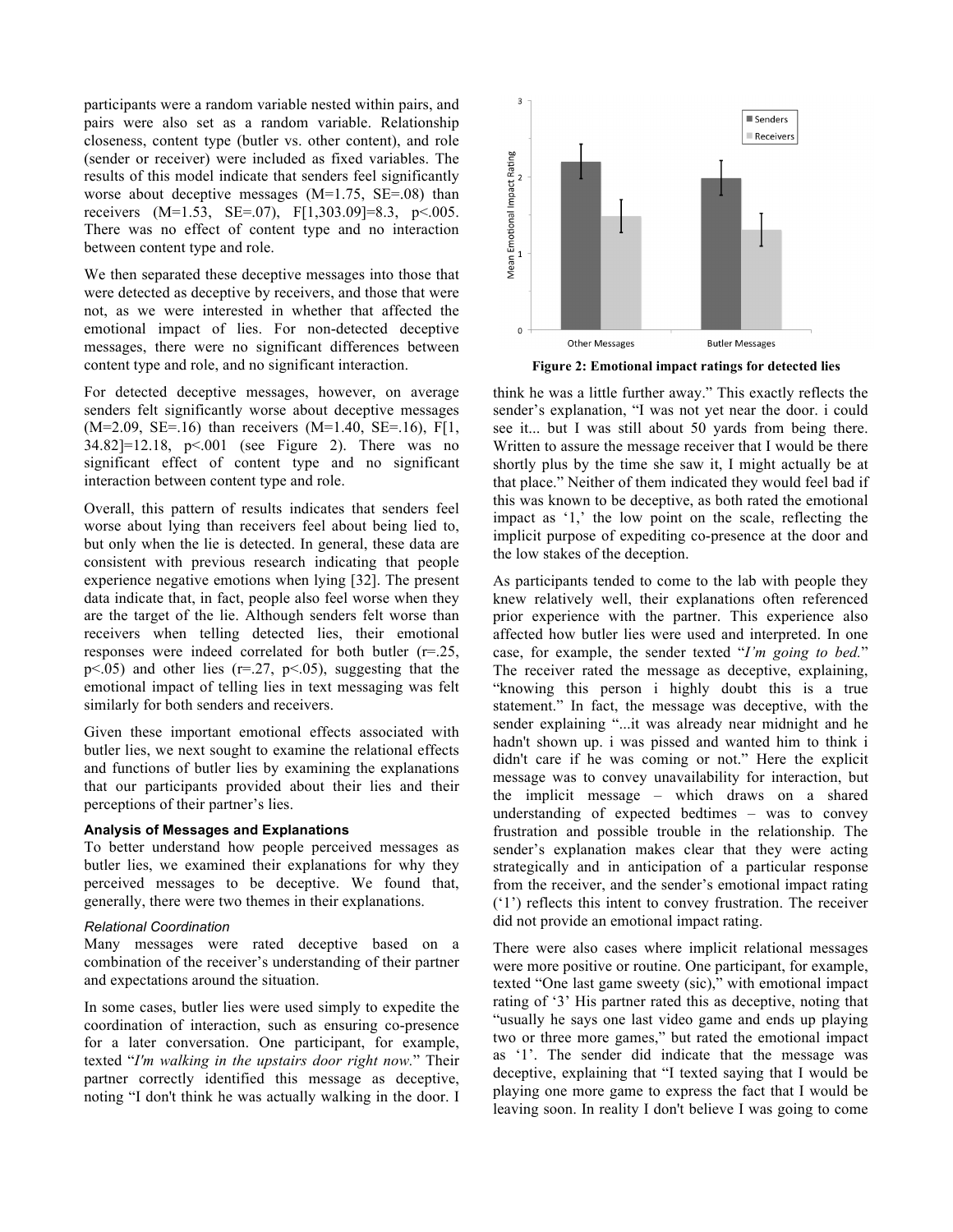participants were a random variable nested within pairs, and pairs were also set as a random variable. Relationship closeness, content type (butler vs. other content), and role (sender or receiver) were included as fixed variables. The results of this model indicate that senders feel significantly worse about deceptive messages (M=1.75, SE=.08) than receivers (M=1.53, SE=.07), F[1,303.09]=8.3, p<.005. There was no effect of content type and no interaction between content type and role.

We then separated these deceptive messages into those that were detected as deceptive by receivers, and those that were not, as we were interested in whether that affected the emotional impact of lies. For non-detected deceptive messages, there were no significant differences between content type and role, and no significant interaction.

For detected deceptive messages, however, on average senders felt significantly worse about deceptive messages  $(M=2.09, SE=.16)$  than receivers  $(M=1.40, SE=.16)$ , F[1, 34.82]=12.18, p<.001 (see Figure 2). There was no significant effect of content type and no significant interaction between content type and role.

Overall, this pattern of results indicates that senders feel worse about lying than receivers feel about being lied to, but only when the lie is detected. In general, these data are consistent with previous research indicating that people experience negative emotions when lying [32]. The present data indicate that, in fact, people also feel worse when they are the target of the lie. Although senders felt worse than receivers when telling detected lies, their emotional responses were indeed correlated for both butler (r=.25,  $p<0.05$ ) and other lies ( $r=.27$ ,  $p<0.05$ ), suggesting that the emotional impact of telling lies in text messaging was felt similarly for both senders and receivers.

Given these important emotional effects associated with butler lies, we next sought to examine the relational effects and functions of butler lies by examining the explanations that our participants provided about their lies and their perceptions of their partner's lies.

## **Analysis of Messages and Explanations**

To better understand how people perceived messages as butler lies, we examined their explanations for why they perceived messages to be deceptive. We found that, generally, there were two themes in their explanations.

#### *Relational Coordination*

Many messages were rated deceptive based on a combination of the receiver's understanding of their partner and expectations around the situation.

In some cases, butler lies were used simply to expedite the coordination of interaction, such as ensuring co-presence for a later conversation. One participant, for example, texted "*I'm walking in the upstairs door right now.*" Their partner correctly identified this message as deceptive, noting "I don't think he was actually walking in the door. I



**Figure 2: Emotional impact ratings for detected lies**

think he was a little further away." This exactly reflects the sender's explanation, "I was not yet near the door. i could see it... but I was still about 50 yards from being there. Written to assure the message receiver that I would be there shortly plus by the time she saw it, I might actually be at that place." Neither of them indicated they would feel bad if this was known to be deceptive, as both rated the emotional impact as '1,' the low point on the scale, reflecting the implicit purpose of expediting co-presence at the door and the low stakes of the deception.

As participants tended to come to the lab with people they knew relatively well, their explanations often referenced prior experience with the partner. This experience also affected how butler lies were used and interpreted. In one case, for example, the sender texted "*I'm going to bed.*" The receiver rated the message as deceptive, explaining, "knowing this person i highly doubt this is a true statement." In fact, the message was deceptive, with the sender explaining "...it was already near midnight and he hadn't shown up. i was pissed and wanted him to think i didn't care if he was coming or not." Here the explicit message was to convey unavailability for interaction, but the implicit message – which draws on a shared understanding of expected bedtimes – was to convey frustration and possible trouble in the relationship. The sender's explanation makes clear that they were acting strategically and in anticipation of a particular response from the receiver, and the sender's emotional impact rating ('1') reflects this intent to convey frustration. The receiver did not provide an emotional impact rating.

There were also cases where implicit relational messages were more positive or routine. One participant, for example, texted "One last game sweety (sic)," with emotional impact rating of '3' His partner rated this as deceptive, noting that "usually he says one last video game and ends up playing two or three more games," but rated the emotional impact as '1'. The sender did indicate that the message was deceptive, explaining that "I texted saying that I would be playing one more game to express the fact that I would be leaving soon. In reality I don't believe I was going to come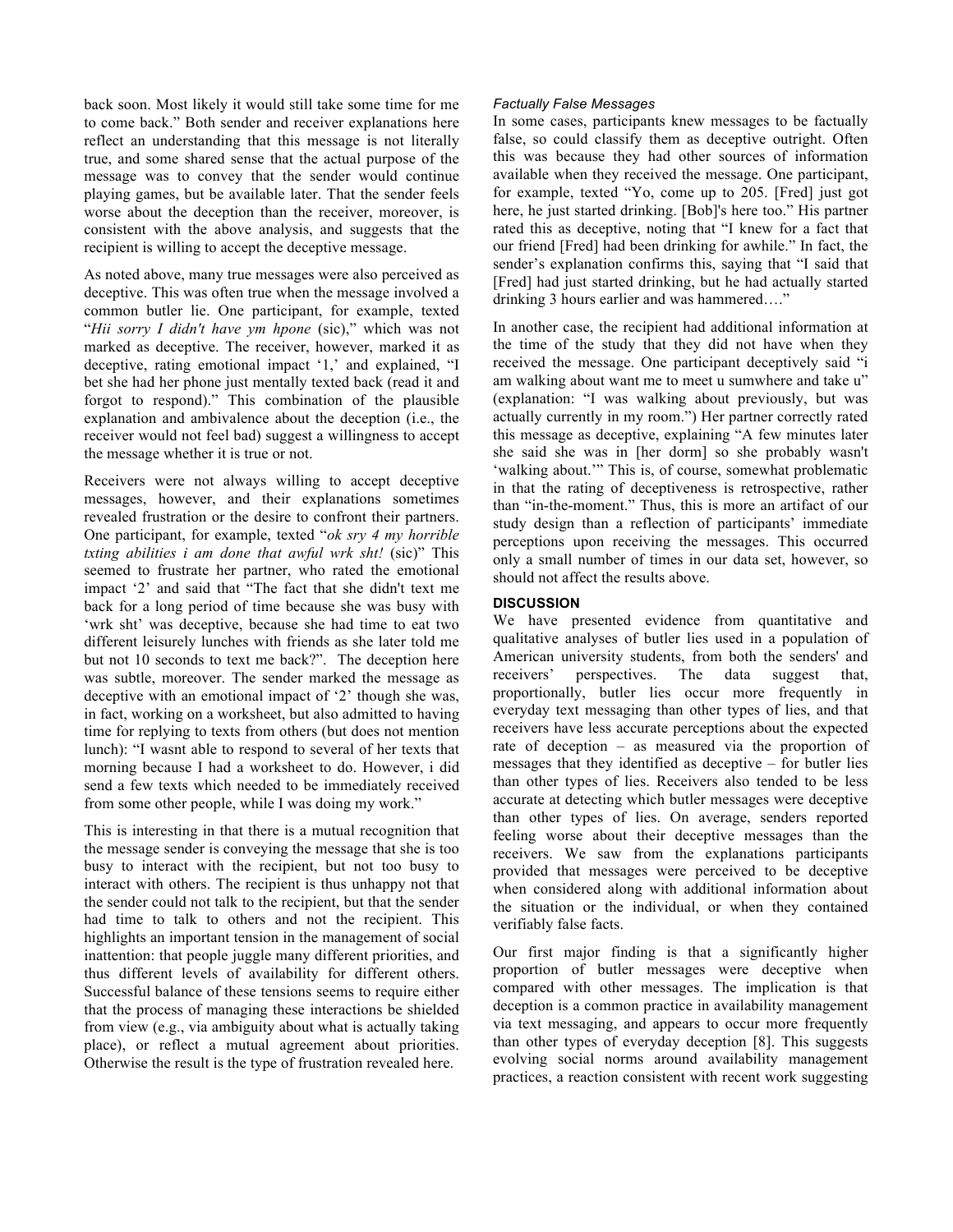back soon. Most likely it would still take some time for me to come back." Both sender and receiver explanations here reflect an understanding that this message is not literally true, and some shared sense that the actual purpose of the message was to convey that the sender would continue playing games, but be available later. That the sender feels worse about the deception than the receiver, moreover, is consistent with the above analysis, and suggests that the recipient is willing to accept the deceptive message.

As noted above, many true messages were also perceived as deceptive. This was often true when the message involved a common butler lie. One participant, for example, texted "*Hii sorry I didn't have ym hpone* (sic)," which was not marked as deceptive. The receiver, however, marked it as deceptive, rating emotional impact '1,' and explained, "I bet she had her phone just mentally texted back (read it and forgot to respond)." This combination of the plausible explanation and ambivalence about the deception (i.e., the receiver would not feel bad) suggest a willingness to accept the message whether it is true or not.

Receivers were not always willing to accept deceptive messages, however, and their explanations sometimes revealed frustration or the desire to confront their partners. One participant, for example, texted "*ok sry 4 my horrible txting abilities i am done that awful wrk sht!* (sic)" This seemed to frustrate her partner, who rated the emotional impact '2' and said that "The fact that she didn't text me back for a long period of time because she was busy with 'wrk sht' was deceptive, because she had time to eat two different leisurely lunches with friends as she later told me but not 10 seconds to text me back?". The deception here was subtle, moreover. The sender marked the message as deceptive with an emotional impact of '2' though she was, in fact, working on a worksheet, but also admitted to having time for replying to texts from others (but does not mention lunch): "I wasnt able to respond to several of her texts that morning because I had a worksheet to do. However, i did send a few texts which needed to be immediately received from some other people, while I was doing my work."

This is interesting in that there is a mutual recognition that the message sender is conveying the message that she is too busy to interact with the recipient, but not too busy to interact with others. The recipient is thus unhappy not that the sender could not talk to the recipient, but that the sender had time to talk to others and not the recipient. This highlights an important tension in the management of social inattention: that people juggle many different priorities, and thus different levels of availability for different others. Successful balance of these tensions seems to require either that the process of managing these interactions be shielded from view (e.g., via ambiguity about what is actually taking place), or reflect a mutual agreement about priorities. Otherwise the result is the type of frustration revealed here.

## *Factually False Messages*

In some cases, participants knew messages to be factually false, so could classify them as deceptive outright. Often this was because they had other sources of information available when they received the message. One participant, for example, texted "Yo, come up to 205. [Fred] just got here, he just started drinking. [Bob]'s here too." His partner rated this as deceptive, noting that "I knew for a fact that our friend [Fred] had been drinking for awhile." In fact, the sender's explanation confirms this, saying that "I said that [Fred] had just started drinking, but he had actually started drinking 3 hours earlier and was hammered…."

In another case, the recipient had additional information at the time of the study that they did not have when they received the message. One participant deceptively said "i am walking about want me to meet u sumwhere and take u" (explanation: "I was walking about previously, but was actually currently in my room.") Her partner correctly rated this message as deceptive, explaining "A few minutes later she said she was in [her dorm] so she probably wasn't 'walking about.'" This is, of course, somewhat problematic in that the rating of deceptiveness is retrospective, rather than "in-the-moment." Thus, this is more an artifact of our study design than a reflection of participants' immediate perceptions upon receiving the messages. This occurred only a small number of times in our data set, however, so should not affect the results above.

# **DISCUSSION**

We have presented evidence from quantitative and qualitative analyses of butler lies used in a population of American university students, from both the senders' and receivers' perspectives. The data suggest that, proportionally, butler lies occur more frequently in everyday text messaging than other types of lies, and that receivers have less accurate perceptions about the expected rate of deception – as measured via the proportion of messages that they identified as deceptive – for butler lies than other types of lies. Receivers also tended to be less accurate at detecting which butler messages were deceptive than other types of lies. On average, senders reported feeling worse about their deceptive messages than the receivers. We saw from the explanations participants provided that messages were perceived to be deceptive when considered along with additional information about the situation or the individual, or when they contained verifiably false facts.

Our first major finding is that a significantly higher proportion of butler messages were deceptive when compared with other messages. The implication is that deception is a common practice in availability management via text messaging, and appears to occur more frequently than other types of everyday deception [8]. This suggests evolving social norms around availability management practices, a reaction consistent with recent work suggesting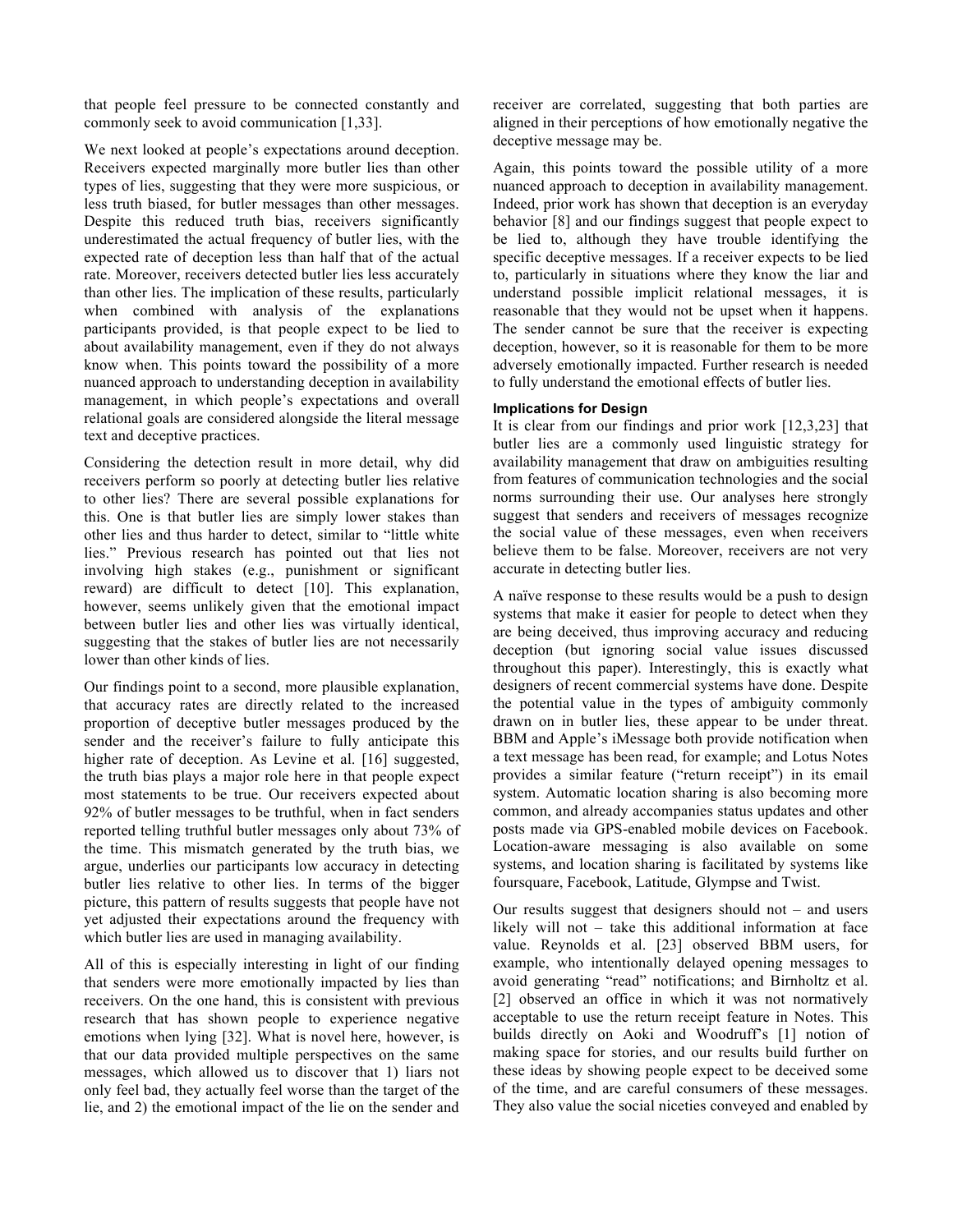that people feel pressure to be connected constantly and commonly seek to avoid communication [1,33].

We next looked at people's expectations around deception. Receivers expected marginally more butler lies than other types of lies, suggesting that they were more suspicious, or less truth biased, for butler messages than other messages. Despite this reduced truth bias, receivers significantly underestimated the actual frequency of butler lies, with the expected rate of deception less than half that of the actual rate. Moreover, receivers detected butler lies less accurately than other lies. The implication of these results, particularly when combined with analysis of the explanations participants provided, is that people expect to be lied to about availability management, even if they do not always know when. This points toward the possibility of a more nuanced approach to understanding deception in availability management, in which people's expectations and overall relational goals are considered alongside the literal message text and deceptive practices.

Considering the detection result in more detail, why did receivers perform so poorly at detecting butler lies relative to other lies? There are several possible explanations for this. One is that butler lies are simply lower stakes than other lies and thus harder to detect, similar to "little white lies." Previous research has pointed out that lies not involving high stakes (e.g., punishment or significant reward) are difficult to detect [10]. This explanation, however, seems unlikely given that the emotional impact between butler lies and other lies was virtually identical, suggesting that the stakes of butler lies are not necessarily lower than other kinds of lies.

Our findings point to a second, more plausible explanation, that accuracy rates are directly related to the increased proportion of deceptive butler messages produced by the sender and the receiver's failure to fully anticipate this higher rate of deception. As Levine et al. [16] suggested, the truth bias plays a major role here in that people expect most statements to be true. Our receivers expected about 92% of butler messages to be truthful, when in fact senders reported telling truthful butler messages only about 73% of the time. This mismatch generated by the truth bias, we argue, underlies our participants low accuracy in detecting butler lies relative to other lies. In terms of the bigger picture, this pattern of results suggests that people have not yet adjusted their expectations around the frequency with which butler lies are used in managing availability.

All of this is especially interesting in light of our finding that senders were more emotionally impacted by lies than receivers. On the one hand, this is consistent with previous research that has shown people to experience negative emotions when lying [32]. What is novel here, however, is that our data provided multiple perspectives on the same messages, which allowed us to discover that 1) liars not only feel bad, they actually feel worse than the target of the lie, and 2) the emotional impact of the lie on the sender and

receiver are correlated, suggesting that both parties are aligned in their perceptions of how emotionally negative the deceptive message may be.

Again, this points toward the possible utility of a more nuanced approach to deception in availability management. Indeed, prior work has shown that deception is an everyday behavior [8] and our findings suggest that people expect to be lied to, although they have trouble identifying the specific deceptive messages. If a receiver expects to be lied to, particularly in situations where they know the liar and understand possible implicit relational messages, it is reasonable that they would not be upset when it happens. The sender cannot be sure that the receiver is expecting deception, however, so it is reasonable for them to be more adversely emotionally impacted. Further research is needed to fully understand the emotional effects of butler lies.

## **Implications for Design**

It is clear from our findings and prior work [12,3,23] that butler lies are a commonly used linguistic strategy for availability management that draw on ambiguities resulting from features of communication technologies and the social norms surrounding their use. Our analyses here strongly suggest that senders and receivers of messages recognize the social value of these messages, even when receivers believe them to be false. Moreover, receivers are not very accurate in detecting butler lies.

A naïve response to these results would be a push to design systems that make it easier for people to detect when they are being deceived, thus improving accuracy and reducing deception (but ignoring social value issues discussed throughout this paper). Interestingly, this is exactly what designers of recent commercial systems have done. Despite the potential value in the types of ambiguity commonly drawn on in butler lies, these appear to be under threat. BBM and Apple's iMessage both provide notification when a text message has been read, for example; and Lotus Notes provides a similar feature ("return receipt") in its email system. Automatic location sharing is also becoming more common, and already accompanies status updates and other posts made via GPS-enabled mobile devices on Facebook. Location-aware messaging is also available on some systems, and location sharing is facilitated by systems like foursquare, Facebook, Latitude, Glympse and Twist.

Our results suggest that designers should not – and users likely will not – take this additional information at face value. Reynolds et al. [23] observed BBM users, for example, who intentionally delayed opening messages to avoid generating "read" notifications; and Birnholtz et al. [2] observed an office in which it was not normatively acceptable to use the return receipt feature in Notes. This builds directly on Aoki and Woodruff's [1] notion of making space for stories, and our results build further on these ideas by showing people expect to be deceived some of the time, and are careful consumers of these messages. They also value the social niceties conveyed and enabled by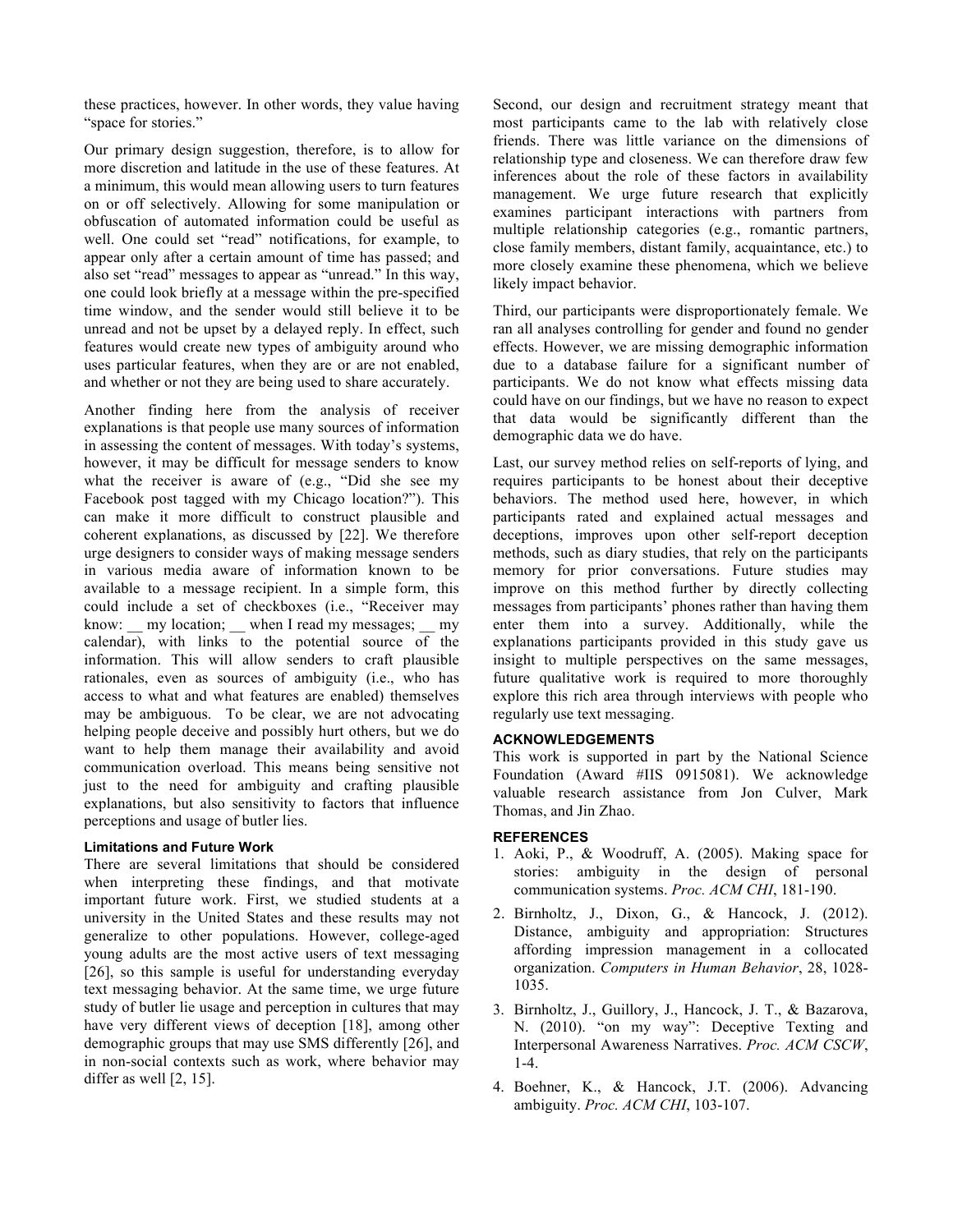these practices, however. In other words, they value having "space for stories."

Our primary design suggestion, therefore, is to allow for more discretion and latitude in the use of these features. At a minimum, this would mean allowing users to turn features on or off selectively. Allowing for some manipulation or obfuscation of automated information could be useful as well. One could set "read" notifications, for example, to appear only after a certain amount of time has passed; and also set "read" messages to appear as "unread." In this way, one could look briefly at a message within the pre-specified time window, and the sender would still believe it to be unread and not be upset by a delayed reply. In effect, such features would create new types of ambiguity around who uses particular features, when they are or are not enabled, and whether or not they are being used to share accurately.

Another finding here from the analysis of receiver explanations is that people use many sources of information in assessing the content of messages. With today's systems, however, it may be difficult for message senders to know what the receiver is aware of (e.g., "Did she see my Facebook post tagged with my Chicago location?"). This can make it more difficult to construct plausible and coherent explanations, as discussed by [22]. We therefore urge designers to consider ways of making message senders in various media aware of information known to be available to a message recipient. In a simple form, this could include a set of checkboxes (i.e., "Receiver may know: \_\_ my location; \_\_ when I read my messages; \_\_ my calendar), with links to the potential source of the information. This will allow senders to craft plausible rationales, even as sources of ambiguity (i.e., who has access to what and what features are enabled) themselves may be ambiguous. To be clear, we are not advocating helping people deceive and possibly hurt others, but we do want to help them manage their availability and avoid communication overload. This means being sensitive not just to the need for ambiguity and crafting plausible explanations, but also sensitivity to factors that influence perceptions and usage of butler lies.

## **Limitations and Future Work**

There are several limitations that should be considered when interpreting these findings, and that motivate important future work. First, we studied students at a university in the United States and these results may not generalize to other populations. However, college-aged young adults are the most active users of text messaging [26], so this sample is useful for understanding everyday text messaging behavior. At the same time, we urge future study of butler lie usage and perception in cultures that may have very different views of deception [18], among other demographic groups that may use SMS differently [26], and in non-social contexts such as work, where behavior may differ as well [2, 15].

Second, our design and recruitment strategy meant that most participants came to the lab with relatively close friends. There was little variance on the dimensions of relationship type and closeness. We can therefore draw few inferences about the role of these factors in availability management. We urge future research that explicitly examines participant interactions with partners from multiple relationship categories (e.g., romantic partners, close family members, distant family, acquaintance, etc.) to more closely examine these phenomena, which we believe likely impact behavior.

Third, our participants were disproportionately female. We ran all analyses controlling for gender and found no gender effects. However, we are missing demographic information due to a database failure for a significant number of participants. We do not know what effects missing data could have on our findings, but we have no reason to expect that data would be significantly different than the demographic data we do have.

Last, our survey method relies on self-reports of lying, and requires participants to be honest about their deceptive behaviors. The method used here, however, in which participants rated and explained actual messages and deceptions, improves upon other self-report deception methods, such as diary studies, that rely on the participants memory for prior conversations. Future studies may improve on this method further by directly collecting messages from participants' phones rather than having them enter them into a survey. Additionally, while the explanations participants provided in this study gave us insight to multiple perspectives on the same messages, future qualitative work is required to more thoroughly explore this rich area through interviews with people who regularly use text messaging.

# **ACKNOWLEDGEMENTS**

This work is supported in part by the National Science Foundation (Award #IIS 0915081). We acknowledge valuable research assistance from Jon Culver, Mark Thomas, and Jin Zhao.

# **REFERENCES**

- 1. Aoki, P., & Woodruff, A. (2005). Making space for stories: ambiguity in the design of personal communication systems. *Proc. ACM CHI*, 181-190.
- 2. Birnholtz, J., Dixon, G., & Hancock, J. (2012). Distance, ambiguity and appropriation: Structures affording impression management in a collocated organization. *Computers in Human Behavior*, 28, 1028- 1035.
- 3. Birnholtz, J., Guillory, J., Hancock, J. T., & Bazarova, N. (2010). "on my way": Deceptive Texting and Interpersonal Awareness Narratives. *Proc. ACM CSCW*, 1-4.
- 4. Boehner, K., & Hancock, J.T. (2006). Advancing ambiguity. *Proc. ACM CHI*, 103-107.